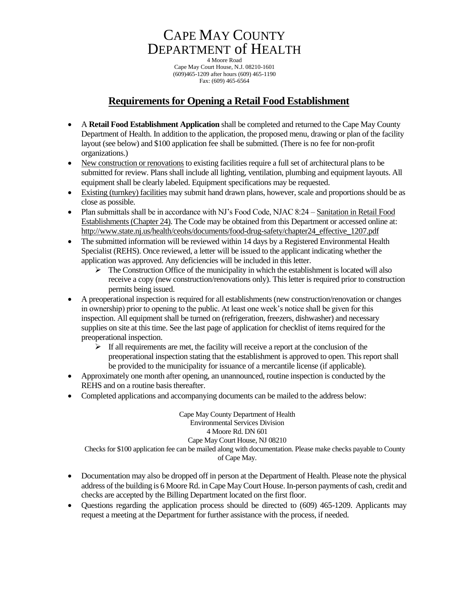# CAPE MAY COUNTY DEPARTMENT of HEALTH

4 Moore Road Cape May Court House, N.J. 08210-1601 (609)465-1209 after hours (609) 465-1190 Fax: (609) 465-6564

## **Requirements for Opening a Retail Food Establishment**

- A **Retail Food Establishment Application** shall be completed and returned to the Cape May County Department of Health. In addition to the application, the proposed menu, drawing or plan of the facility layout (see below) and \$100 application fee shall be submitted. (There is no fee for non-profit organizations.)
- New construction or renovations to existing facilities require a full set of architectural plans to be submitted for review. Plans shall include all lighting, ventilation, plumbing and equipment layouts. All equipment shall be clearly labeled. Equipment specifications may be requested.
- Existing (turnkey) facilities may submit hand drawn plans, however, scale and proportions should be as close as possible.
- Plan submittals shall be in accordance with NJ's Food Code, NJAC 8:24 Sanitation in Retail Food Establishments (Chapter 24). The Code may be obtained from this Department or accessed online at: http://www.state.nj.us/health/ceohs/documents/food-drug-safety/chapter24\_effective\_1207.pdf
- The submitted information will be reviewed within 14 days by a Registered Environmental Health Specialist (REHS). Once reviewed, a letter will be issued to the applicant indicating whether the application was approved. Any deficiencies will be included in this letter.
	- $\triangleright$  The Construction Office of the municipality in which the establishment is located will also receive a copy (new construction/renovations only). This letter is required prior to construction permits being issued.
- A preoperational inspection is required for all establishments (new construction/renovation or changes in ownership) prior to opening to the public. At least one week's notice shall be given for this inspection. All equipment shall be turned on (refrigeration, freezers, dishwasher) and necessary supplies on site at this time. See the last page of application for checklist of items required for the preoperational inspection.
	- $\triangleright$  If all requirements are met, the facility will receive a report at the conclusion of the preoperational inspection stating that the establishment is approved to open. This report shall be provided to the municipality for issuance of a mercantile license (if applicable).
- Approximately one month after opening, an unannounced, routine inspection is conducted by the REHS and on a routine basis thereafter.
- Completed applications and accompanying documents can be mailed to the address below:

Cape May County Department of Health Environmental Services Division 4 Moore Rd. DN 601 Cape May Court House, NJ 08210 Checks for \$100 application fee can be mailed along with documentation. Please make checks payable to County of Cape May.

- Documentation may also be dropped off in person at the Department of Health. Please note the physical address of the building is 6 Moore Rd. in Cape May Court House. In-person payments of cash, credit and checks are accepted by the Billing Department located on the first floor.
- Questions regarding the application process should be directed to (609) 465-1209. Applicants may request a meeting at the Department for further assistance with the process, if needed.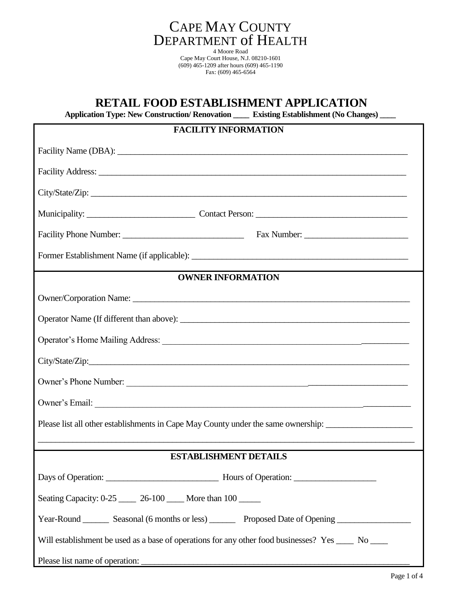

## **RETAIL FOOD ESTABLISHMENT APPLICATION**

 **Application Type: New Construction/ Renovation \_\_\_\_ Existing Establishment (No Changes) \_\_\_\_**

| <b>FACILITY INFORMATION</b>                                                                                                                                                                                                    |  |  |  |  |  |  |  |
|--------------------------------------------------------------------------------------------------------------------------------------------------------------------------------------------------------------------------------|--|--|--|--|--|--|--|
|                                                                                                                                                                                                                                |  |  |  |  |  |  |  |
| Facility Address: The Commission of the Commission of the Commission of the Commission of the Commission of the Commission of the Commission of the Commission of the Commission of the Commission of the Commission of the Co |  |  |  |  |  |  |  |
|                                                                                                                                                                                                                                |  |  |  |  |  |  |  |
|                                                                                                                                                                                                                                |  |  |  |  |  |  |  |
|                                                                                                                                                                                                                                |  |  |  |  |  |  |  |
|                                                                                                                                                                                                                                |  |  |  |  |  |  |  |
| <b>OWNER INFORMATION</b>                                                                                                                                                                                                       |  |  |  |  |  |  |  |
|                                                                                                                                                                                                                                |  |  |  |  |  |  |  |
|                                                                                                                                                                                                                                |  |  |  |  |  |  |  |
|                                                                                                                                                                                                                                |  |  |  |  |  |  |  |
|                                                                                                                                                                                                                                |  |  |  |  |  |  |  |
| Owner's Phone Number:                                                                                                                                                                                                          |  |  |  |  |  |  |  |
|                                                                                                                                                                                                                                |  |  |  |  |  |  |  |
| Please list all other establishments in Cape May County under the same ownership: ____________________________                                                                                                                 |  |  |  |  |  |  |  |
|                                                                                                                                                                                                                                |  |  |  |  |  |  |  |
| <b>ESTABLISHMENT DETAILS</b>                                                                                                                                                                                                   |  |  |  |  |  |  |  |
|                                                                                                                                                                                                                                |  |  |  |  |  |  |  |
| Seating Capacity: 0-25 26-100 More than 100                                                                                                                                                                                    |  |  |  |  |  |  |  |
| Year-Round _________ Seasonal (6 months or less) ___________ Proposed Date of Opening ______________                                                                                                                           |  |  |  |  |  |  |  |
| Will establishment be used as a base of operations for any other food businesses? Yes _____ No _____                                                                                                                           |  |  |  |  |  |  |  |
|                                                                                                                                                                                                                                |  |  |  |  |  |  |  |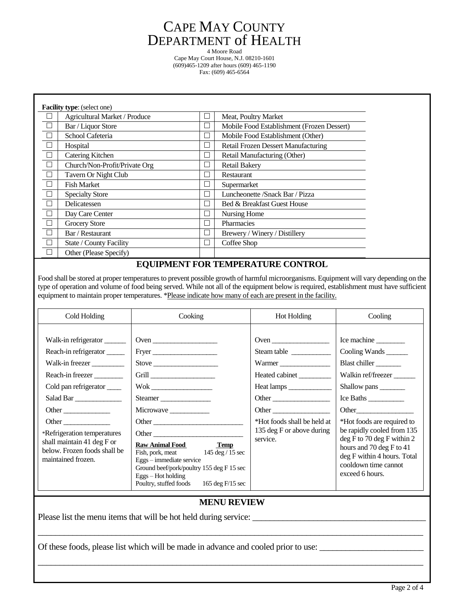## CAPE MAY COUNTY DEPARTMENT of HEALTH

4 Moore Road Cape May Court House, N.J. 08210-1601 (609)465-1209 after hours (609) 465-1190 Fax: (609) 465-6564

| <b>Facility type:</b> (select one) |                               |                             |                                            |  |  |  |  |
|------------------------------------|-------------------------------|-----------------------------|--------------------------------------------|--|--|--|--|
|                                    | Agricultural Market / Produce | ∟                           | Meat, Poultry Market                       |  |  |  |  |
| $\Box$                             | Bar / Liquor Store            | $\Box$                      | Mobile Food Establishment (Frozen Dessert) |  |  |  |  |
| $\Box$                             | School Cafeteria              | $\Box$                      | Mobile Food Establishment (Other)          |  |  |  |  |
| $\Box$                             | Hospital                      | $\Box$                      | <b>Retail Frozen Dessert Manufacturing</b> |  |  |  |  |
| $\Box$                             | Catering Kitchen              | ∟                           | Retail Manufacturing (Other)               |  |  |  |  |
| $\Box$                             | Church/Non-Profit/Private Org | $\Box$                      | <b>Retail Bakery</b>                       |  |  |  |  |
| $\Box$                             | Tavern Or Night Club          | $\overline{\phantom{a}}$    | Restaurant                                 |  |  |  |  |
| $\Box$                             | <b>Fish Market</b>            | $\Box$                      | Supermarket                                |  |  |  |  |
| $\Box$                             | <b>Specialty Store</b>        | П                           | Luncheonette /Snack Bar / Pizza            |  |  |  |  |
| $\Box$                             | Delicatessen                  | Г                           | Bed & Breakfast Guest House                |  |  |  |  |
| $\Box$                             | Day Care Center               | $\Box$                      | Nursing Home                               |  |  |  |  |
| $\Box$                             | <b>Grocery Store</b>          | $\Box$                      | Pharmacies                                 |  |  |  |  |
| $\Box$                             | Bar / Restaurant              | П                           | Brewery / Winery / Distillery              |  |  |  |  |
| $\Box$                             | State / County Facility       | $\mathcal{L}_{\mathcal{A}}$ | Coffee Shop                                |  |  |  |  |
|                                    | Other (Please Specify)        |                             |                                            |  |  |  |  |

#### **EQUIPMENT FOR TEMPERATURE CONTROL**

Food shall be stored at proper temperatures to prevent possible growth of harmful microorganisms. Equipment will vary depending on the type of operation and volume of food being served. While not all of the equipment below is required, establishment must have sufficient equipment to maintain proper temperatures. \*Please indicate how many of each are present in the facility.

| Cold Holding                                                                                                                                                                                                                                                      | Cooking                                                                                                                                                                                                                                                                                                                      | Hot Holding                                                                                                                       | Cooling                                                                                                                                                                                                                                                                                            |
|-------------------------------------------------------------------------------------------------------------------------------------------------------------------------------------------------------------------------------------------------------------------|------------------------------------------------------------------------------------------------------------------------------------------------------------------------------------------------------------------------------------------------------------------------------------------------------------------------------|-----------------------------------------------------------------------------------------------------------------------------------|----------------------------------------------------------------------------------------------------------------------------------------------------------------------------------------------------------------------------------------------------------------------------------------------------|
| Walk-in refrigerator<br>Reach-in refrigerator<br>Walk-in freezer<br>Reach-in freezer<br>Cold pan refrigerator<br>Salad Bar<br>Other<br>Other<br>*Refrigeration temperatures<br>shall maintain 41 deg $F$ or<br>below. Frozen foods shall be<br>maintained frozen. | Oven<br>Grill<br>$\label{eq:Wok} \rm{Wok} \xrightarrow{\hspace{0.5cm}}$<br>Steamer<br>Other<br>Other<br><b>Raw Animal Food</b><br><b>Temp</b><br>Fish, pork, meat 145 deg / 15 sec<br>Eggs-immediate service<br>Ground beef/pork/poultry 155 deg F 15 sec<br>$Eggs - Hot holding$<br>Poultry, stuffed foods 165 deg F/15 sec | Steam table<br>Warmer<br>Heated cabinet<br>Other<br>Other<br>*Hot foods shall be held at<br>135 deg F or above during<br>service. | Ice machine<br>Cooling Wands<br>Blast chiller<br>Walkin ref/freezer<br>Shallow pans<br>Ice Baths<br>*Hot foods are required to<br>be rapidly cooled from 135<br>$deg F$ to 70 deg F within 2<br>hours and 70 deg F to 41<br>deg F within 4 hours. Total<br>cooldown time cannot<br>exceed 6 hours. |

#### **MENU REVIEW**

\_\_\_\_\_\_\_\_\_\_\_\_\_\_\_\_\_\_\_\_\_\_\_\_\_\_\_\_\_\_\_\_\_\_\_\_\_\_\_\_\_\_\_\_\_\_\_\_\_\_\_\_\_\_\_\_\_\_\_\_\_\_\_\_\_\_\_\_\_\_\_\_\_\_\_\_\_\_\_\_\_\_\_\_\_\_\_\_\_

\_\_\_\_\_\_\_\_\_\_\_\_\_\_\_\_\_\_\_\_\_\_\_\_\_\_\_\_\_\_\_\_\_\_\_\_\_\_\_\_\_\_\_\_\_\_\_\_\_\_\_\_\_\_\_\_\_\_\_\_\_\_\_\_\_\_\_\_\_\_\_\_\_\_\_\_\_\_\_\_\_\_\_\_\_\_\_\_\_

Please list the menu items that will be hot held during service:

Of these foods, please list which will be made in advance and cooled prior to use: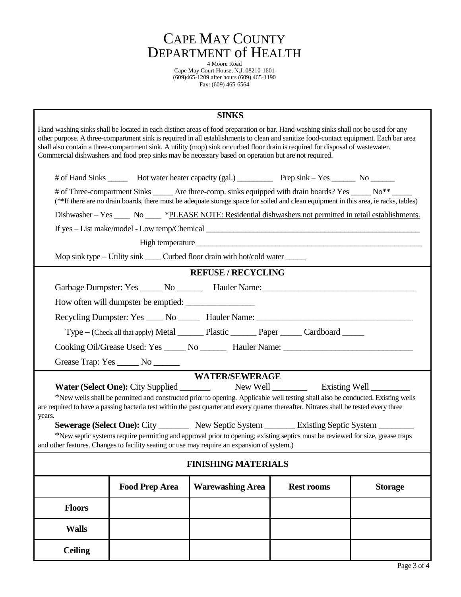

4 Moore Road Cape May Court House, N.J. 08210-1601 (609)465-1209 after hours (609) 465-1190 Fax: (609) 465-6564

| <b>SINKS</b>                                                                                                                                                                                                                                                                                                                                                                                                                                                                                                            |  |  |  |  |  |  |  |  |  |  |  |
|-------------------------------------------------------------------------------------------------------------------------------------------------------------------------------------------------------------------------------------------------------------------------------------------------------------------------------------------------------------------------------------------------------------------------------------------------------------------------------------------------------------------------|--|--|--|--|--|--|--|--|--|--|--|
| Hand washing sinks shall be located in each distinct areas of food preparation or bar. Hand washing sinks shall not be used for any<br>other purpose. A three-compartment sink is required in all establishments to clean and sanitize food-contact equipment. Each bar area<br>shall also contain a three-compartment sink. A utility (mop) sink or curbed floor drain is required for disposal of wastewater.<br>Commercial dishwashers and food prep sinks may be necessary based on operation but are not required. |  |  |  |  |  |  |  |  |  |  |  |
| # of Hand Sinks ________ Hot water heater capacity (gal.) ____________ Prep sink - Yes ________ No _______                                                                                                                                                                                                                                                                                                                                                                                                              |  |  |  |  |  |  |  |  |  |  |  |
| # of Three-compartment Sinks _____ Are three-comp. sinks equipped with drain boards? Yes ____ No** _<br>(**If there are no drain boards, there must be adequate storage space for soiled and clean equipment in this area, ie racks, tables)                                                                                                                                                                                                                                                                            |  |  |  |  |  |  |  |  |  |  |  |
| Dishwasher – Yes ______ No ______ *PLEASE NOTE: Residential dishwashers not permitted in retail establishments.                                                                                                                                                                                                                                                                                                                                                                                                         |  |  |  |  |  |  |  |  |  |  |  |
| If yes – List make/model - Low temp/Chemical ___________________________________                                                                                                                                                                                                                                                                                                                                                                                                                                        |  |  |  |  |  |  |  |  |  |  |  |
|                                                                                                                                                                                                                                                                                                                                                                                                                                                                                                                         |  |  |  |  |  |  |  |  |  |  |  |
| Mop sink type – Utility sink _____ Curbed floor drain with hot/cold water ______                                                                                                                                                                                                                                                                                                                                                                                                                                        |  |  |  |  |  |  |  |  |  |  |  |
| <b>REFUSE / RECYCLING</b>                                                                                                                                                                                                                                                                                                                                                                                                                                                                                               |  |  |  |  |  |  |  |  |  |  |  |
| Garbage Dumpster: Yes ______ No _________ Hauler Name: __________________________                                                                                                                                                                                                                                                                                                                                                                                                                                       |  |  |  |  |  |  |  |  |  |  |  |
| How often will dumpster be emptied:                                                                                                                                                                                                                                                                                                                                                                                                                                                                                     |  |  |  |  |  |  |  |  |  |  |  |
| Recycling Dumpster: Yes _____ No _______ Hauler Name: ___________________________                                                                                                                                                                                                                                                                                                                                                                                                                                       |  |  |  |  |  |  |  |  |  |  |  |
| Type – (Check all that apply) Metal _________ Plastic _________ Paper _______ Cardboard ______                                                                                                                                                                                                                                                                                                                                                                                                                          |  |  |  |  |  |  |  |  |  |  |  |
| Cooking Oil/Grease Used: Yes ______ No _________ Hauler Name: ___________________                                                                                                                                                                                                                                                                                                                                                                                                                                       |  |  |  |  |  |  |  |  |  |  |  |
| Grease Trap: Yes _______ No ______                                                                                                                                                                                                                                                                                                                                                                                                                                                                                      |  |  |  |  |  |  |  |  |  |  |  |
| <b>WATER/SEWERAGE</b>                                                                                                                                                                                                                                                                                                                                                                                                                                                                                                   |  |  |  |  |  |  |  |  |  |  |  |
| <b>Water (Select One): City Supplied</b>                                                                                                                                                                                                                                                                                                                                                                                                                                                                                |  |  |  |  |  |  |  |  |  |  |  |
| *New wells shall be permitted and constructed prior to opening. Applicable well testing shall also be conducted. Existing wells<br>are required to have a passing bacteria test within the past quarter and every quarter thereafter. Nitrates shall be tested every three<br>years.                                                                                                                                                                                                                                    |  |  |  |  |  |  |  |  |  |  |  |
| <b>Sewerage (Select One):</b> City _________ New Septic System ________ Existing Septic System ________                                                                                                                                                                                                                                                                                                                                                                                                                 |  |  |  |  |  |  |  |  |  |  |  |
| *New septic systems require permitting and approval prior to opening; existing septics must be reviewed for size, grease traps<br>and other features. Changes to facility seating or use may require an expansion of system.)                                                                                                                                                                                                                                                                                           |  |  |  |  |  |  |  |  |  |  |  |
| <b>FINISHING MATERIALS</b>                                                                                                                                                                                                                                                                                                                                                                                                                                                                                              |  |  |  |  |  |  |  |  |  |  |  |
| <b>Food Prep Area</b><br><b>Warewashing Area</b><br><b>Rest rooms</b><br><b>Storage</b>                                                                                                                                                                                                                                                                                                                                                                                                                                 |  |  |  |  |  |  |  |  |  |  |  |
| <b>Floors</b>                                                                                                                                                                                                                                                                                                                                                                                                                                                                                                           |  |  |  |  |  |  |  |  |  |  |  |
| <b>Walls</b>                                                                                                                                                                                                                                                                                                                                                                                                                                                                                                            |  |  |  |  |  |  |  |  |  |  |  |
| <b>Ceiling</b>                                                                                                                                                                                                                                                                                                                                                                                                                                                                                                          |  |  |  |  |  |  |  |  |  |  |  |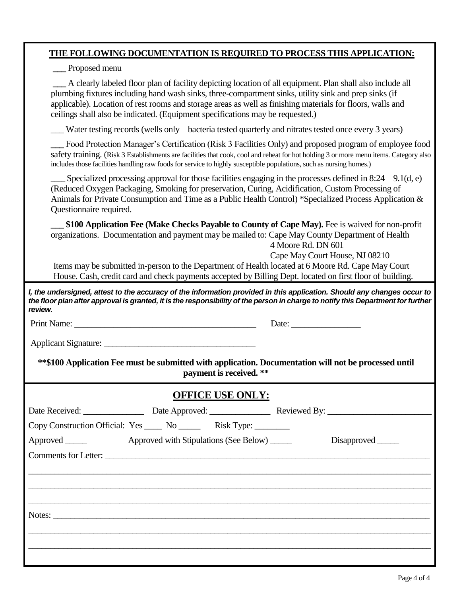#### **THE FOLLOWING DOCUMENTATION IS REQUIRED TO PROCESS THIS APPLICATION:**

**\_\_\_** Proposed menu

**\_\_\_** A clearly labeled floor plan of facility depicting location of all equipment. Plan shall also include all plumbing fixtures including hand wash sinks, three-compartment sinks, utility sink and prep sinks (if applicable). Location of rest rooms and storage areas as well as finishing materials for floors, walls and ceilings shall also be indicated. (Equipment specifications may be requested.)

Water testing records (wells only – bacteria tested quarterly and nitrates tested once every 3 years)

Food Protection Manager's Certification (Risk 3 Facilities Only) and proposed program of employee food safety training. (Risk 3 Establishments are facilities that cook, cool and reheat for hot holding 3 or more menu items. Category also includes those facilities handling raw foods for service to highly susceptible populations, such as nursing homes.)

Specialized processing approval for those facilities engaging in the processes defined in  $8:24 - 9.1(d, e)$ (Reduced Oxygen Packaging, Smoking for preservation, Curing, Acidification, Custom Processing of Animals for Private Consumption and Time as a Public Health Control) \*Specialized Process Application & Questionnaire required.

**\_\_\_ \$100 Application Fee (Make Checks Payable to County of Cape May).** Fee is waived for non-profit organizations. Documentation and payment may be mailed to: Cape May County Department of Health 4 Moore Rd. DN 601

Cape May Court House, NJ 08210

 Items may be submitted in-person to the Department of Health located at 6 Moore Rd. Cape May Court House. Cash, credit card and check payments accepted by Billing Dept. located on first floor of building.

*I, the undersigned, attest to the accuracy of the information provided in this application. Should any changes occur to the floor plan after approval is granted, it is the responsibility of the person in charge to notify this Department for further review.*

Print Name: \_\_\_\_\_\_\_\_\_\_\_\_\_\_\_\_\_\_\_\_\_\_\_\_\_\_\_\_\_\_\_\_\_\_\_\_\_\_\_\_\_\_ Date: \_\_\_\_\_\_\_\_\_\_\_\_\_\_\_\_

Applicant Signature: \_\_\_\_\_\_\_\_\_\_\_\_\_\_\_\_\_\_\_\_\_\_\_\_\_\_\_\_\_\_\_\_\_\_\_

**\*\*\$100 Application Fee must be submitted with application. Documentation will not be processed until payment is received. \*\***

## **OFFICE USE ONLY:**

| Copy Construction Official: Yes ______ No __________ Risk Type: _________ |  |  |                    |
|---------------------------------------------------------------------------|--|--|--------------------|
|                                                                           |  |  | Disapproved ______ |
| Comments for Letter:                                                      |  |  |                    |
|                                                                           |  |  |                    |
|                                                                           |  |  |                    |
|                                                                           |  |  |                    |
| Notes:                                                                    |  |  |                    |
|                                                                           |  |  |                    |
|                                                                           |  |  |                    |